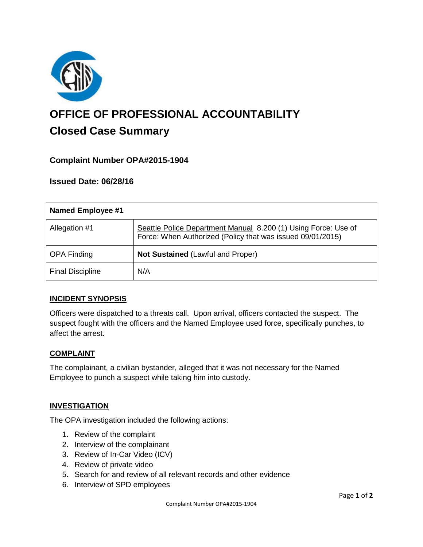

# **OFFICE OF PROFESSIONAL ACCOUNTABILITY Closed Case Summary**

## **Complaint Number OPA#2015-1904**

### **Issued Date: 06/28/16**

| <b>Named Employee #1</b> |                                                                                                                              |
|--------------------------|------------------------------------------------------------------------------------------------------------------------------|
| Allegation #1            | Seattle Police Department Manual 8.200 (1) Using Force: Use of<br>Force: When Authorized (Policy that was issued 09/01/2015) |
| <b>OPA Finding</b>       | <b>Not Sustained (Lawful and Proper)</b>                                                                                     |
| <b>Final Discipline</b>  | N/A                                                                                                                          |

#### **INCIDENT SYNOPSIS**

Officers were dispatched to a threats call. Upon arrival, officers contacted the suspect. The suspect fought with the officers and the Named Employee used force, specifically punches, to affect the arrest.

#### **COMPLAINT**

The complainant, a civilian bystander, alleged that it was not necessary for the Named Employee to punch a suspect while taking him into custody.

#### **INVESTIGATION**

The OPA investigation included the following actions:

- 1. Review of the complaint
- 2. Interview of the complainant
- 3. Review of In-Car Video (ICV)
- 4. Review of private video
- 5. Search for and review of all relevant records and other evidence
- 6. Interview of SPD employees